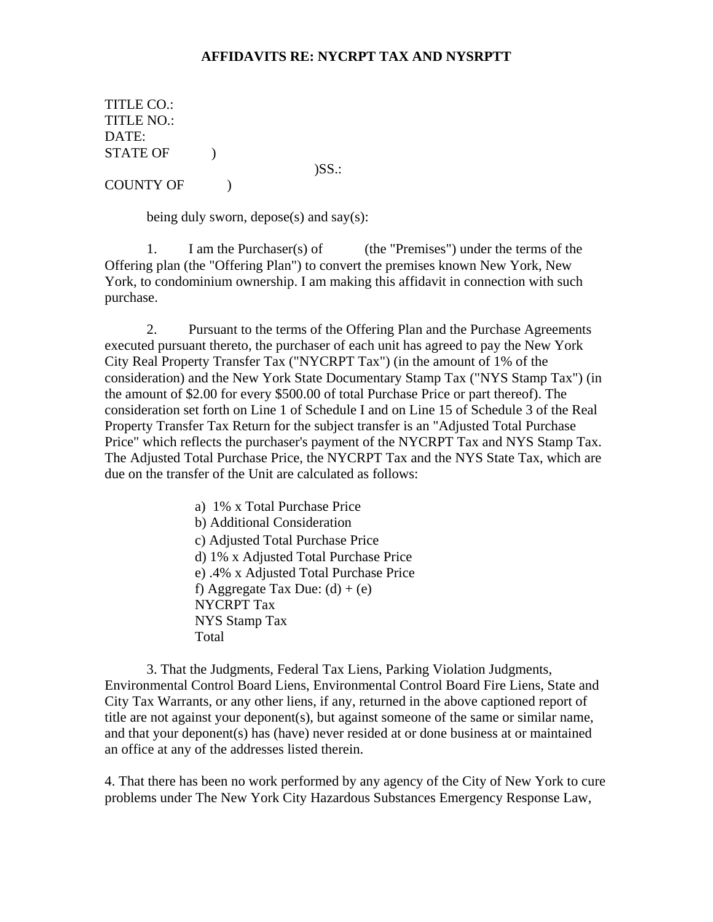## **AFFIDAVITS RE: NYCRPT TAX AND NYSRPTT**

TITLE CO.: TITLE NO.: DATE: STATE OF  $\qquad$  ) )SS.: COUNTY OF (1)

being duly sworn, depose(s) and say(s):

1. I am the Purchaser(s) of (the "Premises") under the terms of the Offering plan (the "Offering Plan") to convert the premises known New York, New York, to condominium ownership. I am making this affidavit in connection with such purchase.

2. Pursuant to the terms of the Offering Plan and the Purchase Agreements executed pursuant thereto, the purchaser of each unit has agreed to pay the New York City Real Property Transfer Tax ("NYCRPT Tax") (in the amount of 1% of the consideration) and the New York State Documentary Stamp Tax ("NYS Stamp Tax") (in the amount of \$2.00 for every \$500.00 of total Purchase Price or part thereof). The consideration set forth on Line 1 of Schedule I and on Line 15 of Schedule 3 of the Real Property Transfer Tax Return for the subject transfer is an "Adjusted Total Purchase Price" which reflects the purchaser's payment of the NYCRPT Tax and NYS Stamp Tax. The Adjusted Total Purchase Price, the NYCRPT Tax and the NYS State Tax, which are due on the transfer of the Unit are calculated as follows:

> a) 1% x Total Purchase Price b) Additional Consideration c) Adjusted Total Purchase Price d) 1% x Adjusted Total Purchase Price e) .4% x Adjusted Total Purchase Price f) Aggregate Tax Due:  $(d) + (e)$ NYCRPT Tax NYS Stamp Tax Total

3. That the Judgments, Federal Tax Liens, Parking Violation Judgments, Environmental Control Board Liens, Environmental Control Board Fire Liens, State and City Tax Warrants, or any other liens, if any, returned in the above captioned report of title are not against your deponent(s), but against someone of the same or similar name, and that your deponent(s) has (have) never resided at or done business at or maintained an office at any of the addresses listed therein.

4. That there has been no work performed by any agency of the City of New York to cure problems under The New York City Hazardous Substances Emergency Response Law,